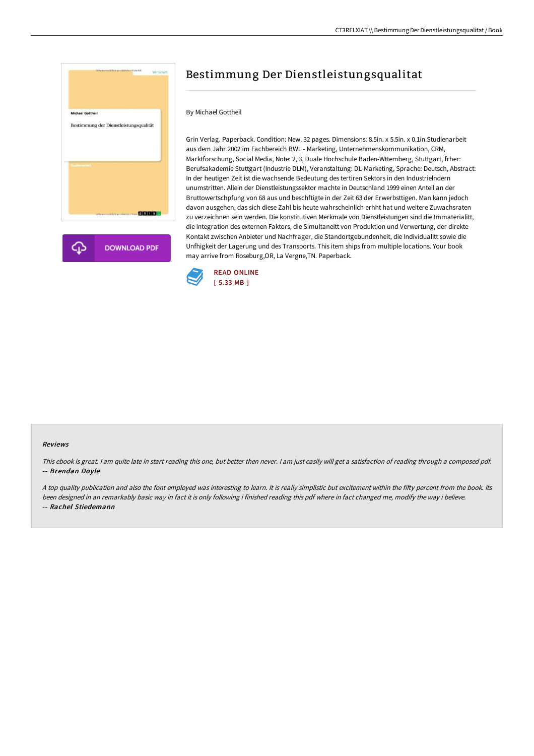

# Bestimmung Der Dienstleistungsqualitat

#### By Michael Gottheil

Grin Verlag. Paperback. Condition: New. 32 pages. Dimensions: 8.5in. x 5.5in. x 0.1in.Studienarbeit aus dem Jahr 2002 im Fachbereich BWL - Marketing, Unternehmenskommunikation, CRM, Marktforschung, Social Media, Note: 2, 3, Duale Hochschule Baden-Wttemberg, Stuttgart, frher: Berufsakademie Stuttgart (Industrie DLM), Veranstaltung: DL-Marketing, Sprache: Deutsch, Abstract: In der heutigen Zeit ist die wachsende Bedeutung des tertiren Sektors in den Industrielndern unumstritten. Allein der Dienstleistungssektor machte in Deutschland 1999 einen Anteil an der Bruttowertschpfung von 68 aus und beschftigte in der Zeit 63 der Erwerbsttigen. Man kann jedoch davon ausgehen, das sich diese Zahl bis heute wahrscheinlich erhht hat und weitere Zuwachsraten zu verzeichnen sein werden. Die konstitutiven Merkmale von Dienstleistungen sind die Immaterialitt, die Integration des externen Faktors, die Simultaneitt von Produktion und Verwertung, der direkte Kontakt zwischen Anbieter und Nachfrager, die Standortgebundenheit, die Individualitt sowie die Unfhigkeit der Lagerung und des Transports. This item ships from multiple locations. Your book may arrive from Roseburg,OR, La Vergne,TN. Paperback.



#### Reviews

This ebook is great. I am quite late in start reading this one, but better then never. I am just easily will get a satisfaction of reading through a composed pdf. -- Brendan Doyle

A top quality publication and also the font employed was interesting to learn. It is really simplistic but excitement within the fifty percent from the book. Its been designed in an remarkably basic way in fact it is only following i finished reading this pdf where in fact changed me, modify the way i believe. -- Rachel Stiedemann